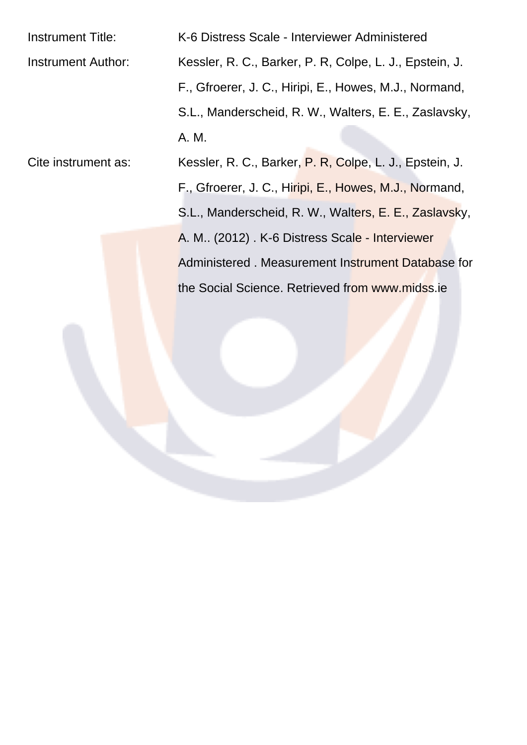| <b>Instrument Title:</b>  | K-6 Distress Scale - Interviewer Administered           |
|---------------------------|---------------------------------------------------------|
| <b>Instrument Author:</b> | Kessler, R. C., Barker, P. R, Colpe, L. J., Epstein, J. |
|                           | F., Gfroerer, J. C., Hiripi, E., Howes, M.J., Normand,  |
|                           | S.L., Manderscheid, R. W., Walters, E. E., Zaslavsky,   |
|                           | A. M.                                                   |
| Cite instrument as:       | Kessler, R. C., Barker, P. R, Colpe, L. J., Epstein, J. |

F., Gfroerer, J. C., Hiripi, E., Howes, M.J., Normand, S.L., Manderscheid, R. W., Walters, E. E., Zaslavsky, A. M.. (2012) . K-6 Distress Scale - Interviewer Administered . Measurement Instrument Database for the Social Science. Retrieved from www.midss.ie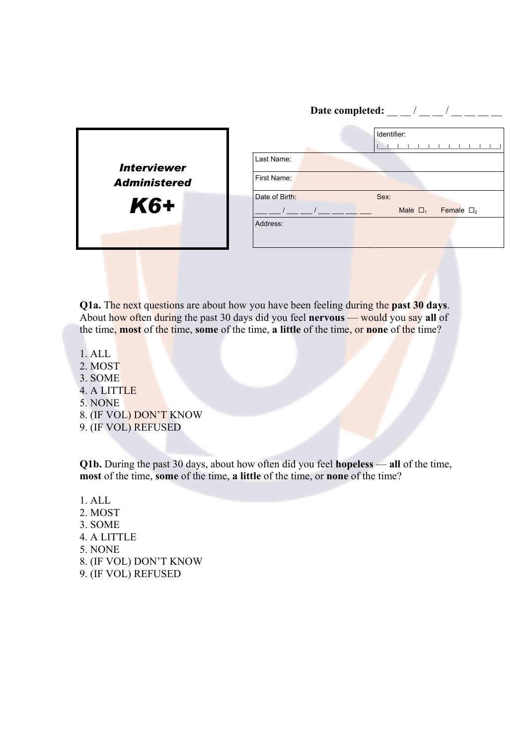|                     |                | Date completed:                          |
|---------------------|----------------|------------------------------------------|
|                     |                | Identifier:                              |
| <b>Interviewer</b>  | Last Name:     |                                          |
| <b>Administered</b> | First Name:    |                                          |
| <b>K6+</b>          | Date of Birth: | Sex:<br>Female $\Box_2$<br>Male $\Box_1$ |
|                     | Address:       |                                          |
|                     |                |                                          |

**Q1a.** The next questions are about how you have been feeling during the **past 30 days**. About how often during the past 30 days did you feel **nervous** — would you say **all** of the time, **most** of the time, **some** of the time, **a little** of the time, or **none** of the time?

- 1. ALL
- 2. MOST
- 3. SOME
- 4. A LITTLE
- 5. NONE
- 8. (IF VOL) DON'T KNOW
- 9. (IF VOL) REFUSED

**Q1b.** During the past 30 days, about how often did you feel **hopeless** — **all** of the time, **most** of the time, **some** of the time, **a little** of the time, or **none** of the time?

- 1. ALL
- 2. MOST
- 3. SOME
- 4. A LITTLE
- 5. NONE
- 8. (IF VOL) DON'T KNOW
- 9. (IF VOL) REFUSED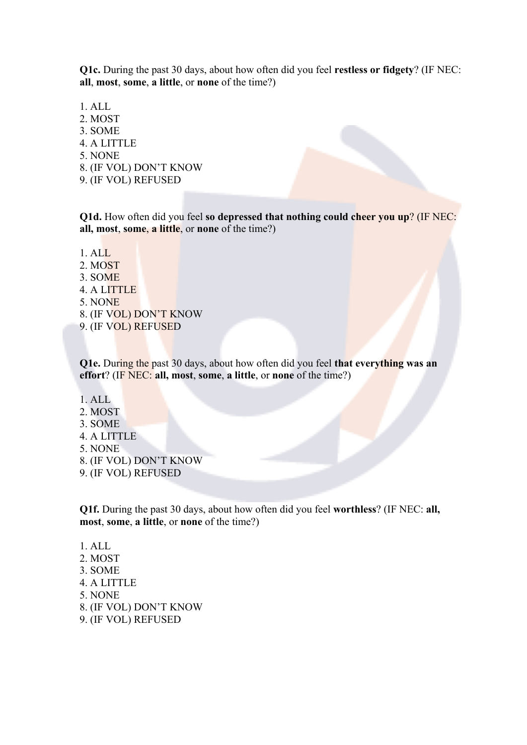**Q1c.** During the past 30 days, about how often did you feel **restless or fidgety**? (IF NEC: **all**, **most**, **some**, **a little**, or **none** of the time?)

1. ALL 2. MOST 3. SOME 4. A LITTLE 5. NONE 8. (IF VOL) DON'T KNOW 9. (IF VOL) REFUSED

**Q1d.** How often did you feel **so depressed that nothing could cheer you up**? (IF NEC: **all, most**, **some**, **a little**, or **none** of the time?)

- 1. ALL
- 2. MOST
- 3. SOME
- 4. A LITTLE
- 5. NONE
- 8. (IF VOL) DON'T KNOW
- 9. (IF VOL) REFUSED

**Q1e.** During the past 30 days, about how often did you feel **that everything was an effort**? (IF NEC: **all, most**, **some**, **a little**, or **none** of the time?)

- 1. ALL
- 2. MOST
- 3. SOME
- 4. A LITTLE
- 5. NONE
- 8. (IF VOL) DON'T KNOW
- 9. (IF VOL) REFUSED

**Q1f.** During the past 30 days, about how often did you feel **worthless**? (IF NEC: **all, most**, **some**, **a little**, or **none** of the time?)

- 1. ALL 2. MOST 3. SOME 4. A LITTLE 5. NONE 8. (IF VOL) DON'T KNOW
- 9. (IF VOL) REFUSED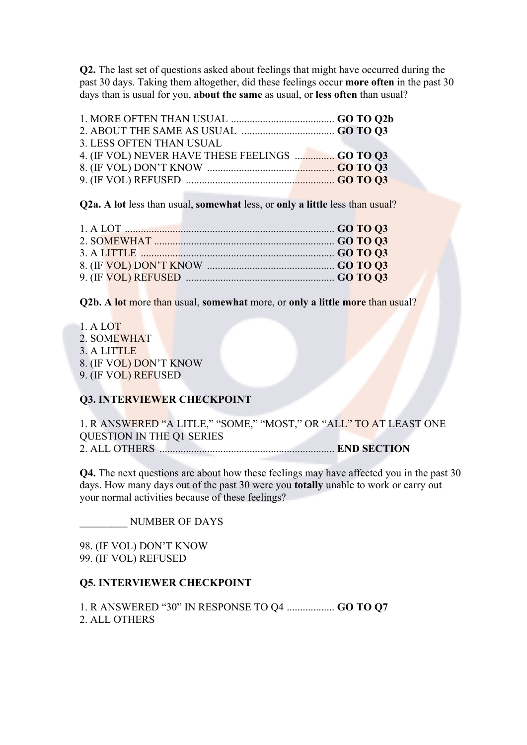**Q2.** The last set of questions asked about feelings that might have occurred during the past 30 days. Taking them altogether, did these feelings occur **more often** in the past 30 days than is usual for you, **about the same** as usual, or **less often** than usual?

| 3. LESS OFTEN THAN USUAL                        |  |
|-------------------------------------------------|--|
| 4. (IF VOL) NEVER HAVE THESE FEELINGS  GO TO Q3 |  |
|                                                 |  |
|                                                 |  |

**Q2a. A lot** less than usual, **somewhat** less, or **only a little** less than usual?

|  | 1. A LOT $\ldots$ 60 TO Q3 |  |
|--|----------------------------|--|
|  |                            |  |
|  |                            |  |
|  |                            |  |
|  |                            |  |
|  |                            |  |

**Q2b. A lot** more than usual, **somewhat** more, or **only a little more** than usual?

- 1. A LOT
- 2. SOMEWHAT
- 3. A LITTLE
- 8. (IF VOL) DON'T KNOW
- 9. (IF VOL) REFUSED

## **Q3. INTERVIEWER CHECKPOINT**

1. R ANSWERED "A LITLE," "SOME," "MOST," OR "ALL" TO AT LEAST ONE QUESTION IN THE Q1 SERIES 2. ALL OTHERS .................................................................. **END SECTION**

**Q4.** The next questions are about how these feelings may have affected you in the past 30 days. How many days out of the past 30 were you **totally** unable to work or carry out your normal activities because of these feelings?

\_\_\_\_\_\_\_\_\_ NUMBER OF DAYS

98. (IF VOL) DON'T KNOW 99. (IF VOL) REFUSED

## **Q5. INTERVIEWER CHECKPOINT**

1. R ANSWERED "30" IN RESPONSE TO Q4 .................. **GO TO Q7** 2. ALL OTHERS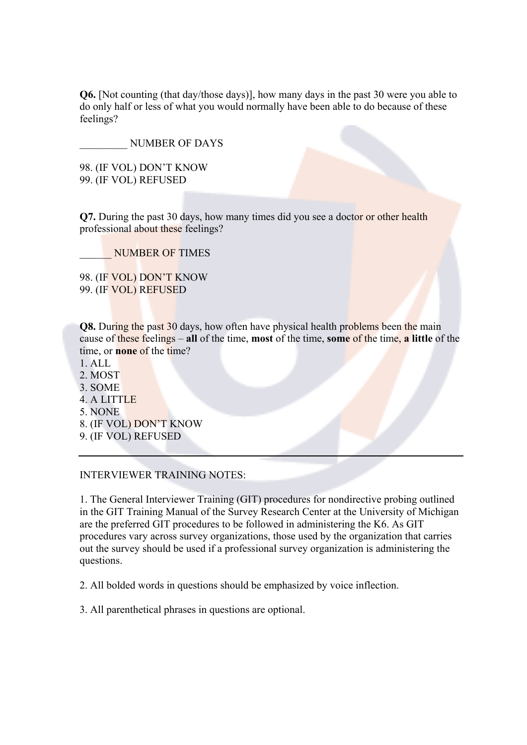**Q6.** [Not counting (that day/those days)], how many days in the past 30 were you able to do only half or less of what you would normally have been able to do because of these feelings?

\_\_\_\_\_\_\_\_\_ NUMBER OF DAYS

98. (IF VOL) DON'T KNOW 99. (IF VOL) REFUSED

**Q7.** During the past 30 days, how many times did you see a doctor or other health professional about these feelings?

\_\_\_\_\_\_ NUMBER OF TIMES

98. (IF VOL) DON'T KNOW 99. (IF VOL) REFUSED

**Q8.** During the past 30 days, how often have physical health problems been the main cause of these feelings – **all** of the time, **most** of the time, **some** of the time, **a little** of the time, or **none** of the time?

- $1$  ALL
- 2. MOST
- 3. SOME
- 4. A LITTLE
- 5. NONE
- 8. (IF VOL) DON'T KNOW
- 9. (IF VOL) REFUSED

## INTERVIEWER TRAINING NOTES:

1. The General Interviewer Training (GIT) procedures for nondirective probing outlined in the GIT Training Manual of the Survey Research Center at the University of Michigan are the preferred GIT procedures to be followed in administering the K6. As GIT procedures vary across survey organizations, those used by the organization that carries out the survey should be used if a professional survey organization is administering the questions.

2. All bolded words in questions should be emphasized by voice inflection.

3. All parenthetical phrases in questions are optional.